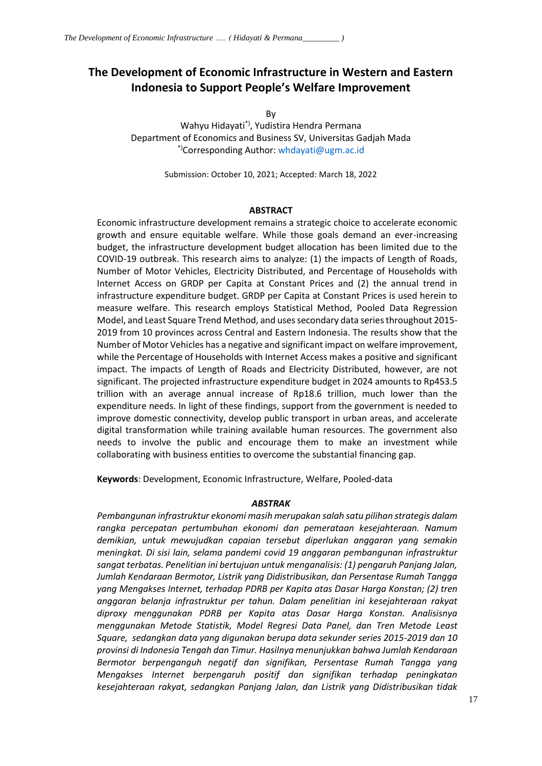# **The Development of Economic Infrastructure in Western and Eastern Indonesia to Support People's Welfare Improvement**

By

Wahyu Hidayati\*), Yudistira Hendra Permana Department of Economics and Business SV, Universitas Gadjah Mada \*)Corresponding Author[: whdayati@ugm.ac.id](mailto:whdayati@ugm.ac.id)

Submission: October 10, 2021; Accepted: March 18, 2022

#### **ABSTRACT**

Economic infrastructure development remains a strategic choice to accelerate economic growth and ensure equitable welfare. While those goals demand an ever-increasing budget, the infrastructure development budget allocation has been limited due to the COVID-19 outbreak. This research aims to analyze: (1) the impacts of Length of Roads, Number of Motor Vehicles, Electricity Distributed, and Percentage of Households with Internet Access on GRDP per Capita at Constant Prices and (2) the annual trend in infrastructure expenditure budget. GRDP per Capita at Constant Prices is used herein to measure welfare. This research employs Statistical Method, Pooled Data Regression Model, and Least Square Trend Method, and uses secondary data series throughout 2015- 2019 from 10 provinces across Central and Eastern Indonesia. The results show that the Number of Motor Vehicles has a negative and significant impact on welfare improvement, while the Percentage of Households with Internet Access makes a positive and significant impact. The impacts of Length of Roads and Electricity Distributed, however, are not significant. The projected infrastructure expenditure budget in 2024 amounts to Rp453.5 trillion with an average annual increase of Rp18.6 trillion, much lower than the expenditure needs. In light of these findings, support from the government is needed to improve domestic connectivity, develop public transport in urban areas, and accelerate digital transformation while training available human resources. The government also needs to involve the public and encourage them to make an investment while collaborating with business entities to overcome the substantial financing gap.

**Keywords**: Development, Economic Infrastructure, Welfare, Pooled-data

### *ABSTRAK*

*Pembangunan infrastruktur ekonomi masih merupakan salah satu pilihan strategis dalam rangka percepatan pertumbuhan ekonomi dan pemerataan kesejahteraan. Namum demikian, untuk mewujudkan capaian tersebut diperlukan anggaran yang semakin meningkat. Di sisi lain, selama pandemi covid 19 anggaran pembangunan infrastruktur sangat terbatas. Penelitian ini bertujuan untuk menganalisis: (1) pengaruh Panjang Jalan, Jumlah Kendaraan Bermotor, Listrik yang Didistribusikan, dan Persentase Rumah Tangga yang Mengakses Internet, terhadap PDRB per Kapita atas Dasar Harga Konstan; (2) tren anggaran belanja infrastruktur per tahun. Dalam penelitian ini kesejahteraan rakyat diproxy menggunakan PDRB per Kapita atas Dasar Harga Konstan. Analisisnya menggunakan Metode Statistik, Model Regresi Data Panel, dan Tren Metode Least Square, sedangkan data yang digunakan berupa data sekunder series 2015-2019 dan 10 provinsi di Indonesia Tengah dan Timur. Hasilnya menunjukkan bahwa Jumlah Kendaraan Bermotor berpenganguh negatif dan signifikan, Persentase Rumah Tangga yang Mengakses Internet berpengaruh positif dan signifikan terhadap peningkatan kesejahteraan rakyat, sedangkan Panjang Jalan, dan Listrik yang Didistribusikan tidak*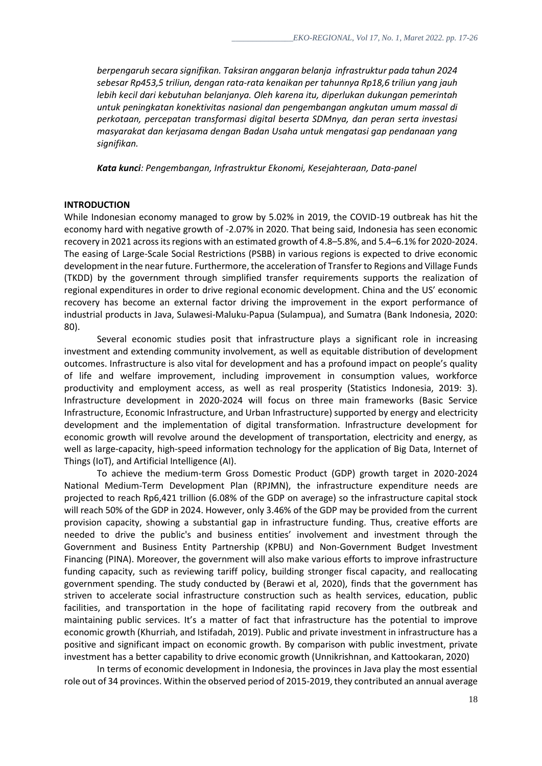*berpengaruh secara signifikan. Taksiran anggaran belanja infrastruktur pada tahun 2024 sebesar Rp453,5 triliun, dengan rata-rata kenaikan per tahunnya Rp18,6 triliun yang jauh lebih kecil dari kebutuhan belanjanya. Oleh karena itu, diperlukan dukungan pemerintah untuk peningkatan konektivitas nasional dan pengembangan angkutan umum massal di perkotaan, percepatan transformasi digital beserta SDMnya, dan peran serta investasi masyarakat dan kerjasama dengan Badan Usaha untuk mengatasi gap pendanaan yang signifikan.*

*Kata kunci: Pengembangan, Infrastruktur Ekonomi, Kesejahteraan, Data-panel*

### **INTRODUCTION**

While Indonesian economy managed to grow by 5.02% in 2019, the COVID-19 outbreak has hit the economy hard with negative growth of -2.07% in 2020. That being said, Indonesia has seen economic recovery in 2021 across its regions with an estimated growth of 4.8–5.8%, and 5.4–6.1% for 2020-2024. The easing of Large-Scale Social Restrictions (PSBB) in various regions is expected to drive economic development in the near future. Furthermore, the acceleration of Transfer to Regions and Village Funds (TKDD) by the government through simplified transfer requirements supports the realization of regional expenditures in order to drive regional economic development. China and the US' economic recovery has become an external factor driving the improvement in the export performance of industrial products in Java, Sulawesi-Maluku-Papua (Sulampua), and Sumatra (Bank Indonesia, 2020: 80).

Several economic studies posit that infrastructure plays a significant role in increasing investment and extending community involvement, as well as equitable distribution of development outcomes. Infrastructure is also vital for development and has a profound impact on people's quality of life and welfare improvement, including improvement in consumption values, workforce productivity and employment access, as well as real prosperity (Statistics Indonesia, 2019: 3). Infrastructure development in 2020-2024 will focus on three main frameworks (Basic Service Infrastructure, Economic Infrastructure, and Urban Infrastructure) supported by energy and electricity development and the implementation of digital transformation. Infrastructure development for economic growth will revolve around the development of transportation, electricity and energy, as well as large-capacity, high-speed information technology for the application of Big Data, Internet of Things (IoT), and Artificial Intelligence (AI).

To achieve the medium-term Gross Domestic Product (GDP) growth target in 2020-2024 National Medium-Term Development Plan (RPJMN), the infrastructure expenditure needs are projected to reach Rp6,421 trillion (6.08% of the GDP on average) so the infrastructure capital stock will reach 50% of the GDP in 2024. However, only 3.46% of the GDP may be provided from the current provision capacity, showing a substantial gap in infrastructure funding. Thus, creative efforts are needed to drive the public's and business entities' involvement and investment through the Government and Business Entity Partnership (KPBU) and Non-Government Budget Investment Financing (PINA). Moreover, the government will also make various efforts to improve infrastructure funding capacity, such as reviewing tariff policy, building stronger fiscal capacity, and reallocating government spending. The study conducted by (Berawi et al, 2020), finds that the government has striven to accelerate social infrastructure construction such as health services, education, public facilities, and transportation in the hope of facilitating rapid recovery from the outbreak and maintaining public services. It's a matter of fact that infrastructure has the potential to improve economic growth (Khurriah, and Istifadah, 2019). Public and private investment in infrastructure has a positive and significant impact on economic growth. By comparison with public investment, private investment has a better capability to drive economic growth (Unnikrishnan, and Kattookaran, 2020)

In terms of economic development in Indonesia, the provinces in Java play the most essential role out of 34 provinces. Within the observed period of 2015-2019, they contributed an annual average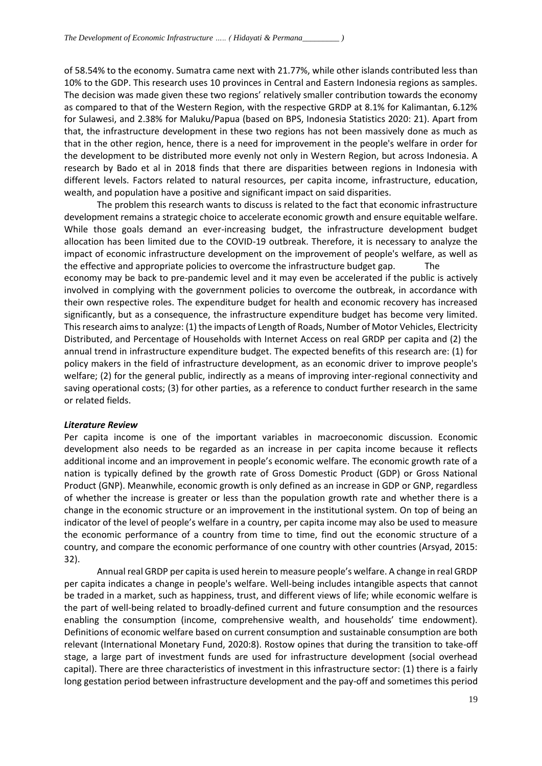of 58.54% to the economy. Sumatra came next with 21.77%, while other islands contributed less than 10% to the GDP. This research uses 10 provinces in Central and Eastern Indonesia regions as samples. The decision was made given these two regions' relatively smaller contribution towards the economy as compared to that of the Western Region, with the respective GRDP at 8.1% for Kalimantan, 6.12% for Sulawesi, and 2.38% for Maluku/Papua (based on BPS, Indonesia Statistics 2020: 21). Apart from that, the infrastructure development in these two regions has not been massively done as much as that in the other region, hence, there is a need for improvement in the people's welfare in order for the development to be distributed more evenly not only in Western Region, but across Indonesia. A research by Bado et al in 2018 finds that there are disparities between regions in Indonesia with different levels. Factors related to natural resources, per capita income, infrastructure, education, wealth, and population have a positive and significant impact on said disparities.

The problem this research wants to discuss is related to the fact that economic infrastructure development remains a strategic choice to accelerate economic growth and ensure equitable welfare. While those goals demand an ever-increasing budget, the infrastructure development budget allocation has been limited due to the COVID-19 outbreak. Therefore, it is necessary to analyze the impact of economic infrastructure development on the improvement of people's welfare, as well as the effective and appropriate policies to overcome the infrastructure budget gap. The

economy may be back to pre-pandemic level and it may even be accelerated if the public is actively involved in complying with the government policies to overcome the outbreak, in accordance with their own respective roles. The expenditure budget for health and economic recovery has increased significantly, but as a consequence, the infrastructure expenditure budget has become very limited. This research aims to analyze: (1) the impacts of Length of Roads, Number of Motor Vehicles, Electricity Distributed, and Percentage of Households with Internet Access on real GRDP per capita and (2) the annual trend in infrastructure expenditure budget. The expected benefits of this research are: (1) for policy makers in the field of infrastructure development, as an economic driver to improve people's welfare; (2) for the general public, indirectly as a means of improving inter-regional connectivity and saving operational costs; (3) for other parties, as a reference to conduct further research in the same or related fields.

### *Literature Review*

Per capita income is one of the important variables in macroeconomic discussion. Economic development also needs to be regarded as an increase in per capita income because it reflects additional income and an improvement in people's economic welfare. The economic growth rate of a nation is typically defined by the growth rate of Gross Domestic Product (GDP) or Gross National Product (GNP). Meanwhile, economic growth is only defined as an increase in GDP or GNP, regardless of whether the increase is greater or less than the population growth rate and whether there is a change in the economic structure or an improvement in the institutional system. On top of being an indicator of the level of people's welfare in a country, per capita income may also be used to measure the economic performance of a country from time to time, find out the economic structure of a country, and compare the economic performance of one country with other countries (Arsyad, 2015: 32).

Annual real GRDP per capita is used herein to measure people's welfare. A change in real GRDP per capita indicates a change in people's welfare. Well-being includes intangible aspects that cannot be traded in a market, such as happiness, trust, and different views of life; while economic welfare is the part of well-being related to broadly-defined current and future consumption and the resources enabling the consumption (income, comprehensive wealth, and households' time endowment). Definitions of economic welfare based on current consumption and sustainable consumption are both relevant (International Monetary Fund, 2020:8). Rostow opines that during the transition to take-off stage, a large part of investment funds are used for infrastructure development (social overhead capital). There are three characteristics of investment in this infrastructure sector: (1) there is a fairly long gestation period between infrastructure development and the pay-off and sometimes this period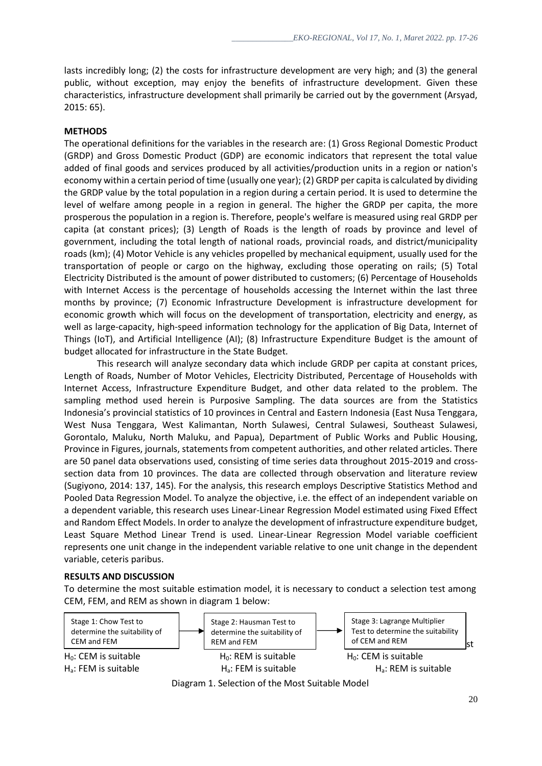lasts incredibly long; (2) the costs for infrastructure development are very high; and (3) the general public, without exception, may enjoy the benefits of infrastructure development. Given these characteristics, infrastructure development shall primarily be carried out by the government (Arsyad, 2015: 65).

### **METHODS**

The operational definitions for the variables in the research are: (1) Gross Regional Domestic Product (GRDP) and Gross Domestic Product (GDP) are economic indicators that represent the total value added of final goods and services produced by all activities/production units in a region or nation's economy within a certain period of time (usually one year); (2) GRDP per capita is calculated by dividing the GRDP value by the total population in a region during a certain period. It is used to determine the level of welfare among people in a region in general. The higher the GRDP per capita, the more prosperous the population in a region is. Therefore, people's welfare is measured using real GRDP per capita (at constant prices); (3) Length of Roads is the length of roads by province and level of government, including the total length of national roads, provincial roads, and district/municipality roads (km); (4) Motor Vehicle is any vehicles propelled by mechanical equipment, usually used for the transportation of people or cargo on the highway, excluding those operating on rails; (5) Total Electricity Distributed is the amount of power distributed to customers; (6) Percentage of Households with Internet Access is the percentage of households accessing the Internet within the last three months by province; (7) Economic Infrastructure Development is infrastructure development for economic growth which will focus on the development of transportation, electricity and energy, as well as large-capacity, high-speed information technology for the application of Big Data, Internet of Things (IoT), and Artificial Intelligence (AI); (8) Infrastructure Expenditure Budget is the amount of budget allocated for infrastructure in the State Budget.

This research will analyze secondary data which include GRDP per capita at constant prices, Length of Roads, Number of Motor Vehicles, Electricity Distributed, Percentage of Households with Internet Access, Infrastructure Expenditure Budget, and other data related to the problem. The sampling method used herein is Purposive Sampling. The data sources are from the Statistics Indonesia's provincial statistics of 10 provinces in Central and Eastern Indonesia (East Nusa Tenggara, West Nusa Tenggara, West Kalimantan, North Sulawesi, Central Sulawesi, Southeast Sulawesi, Gorontalo, Maluku, North Maluku, and Papua), Department of Public Works and Public Housing, Province in Figures, journals, statements from competent authorities, and other related articles. There are 50 panel data observations used, consisting of time series data throughout 2015-2019 and crosssection data from 10 provinces. The data are collected through observation and literature review (Sugiyono, 2014: 137, 145). For the analysis, this research employs Descriptive Statistics Method and Pooled Data Regression Model. To analyze the objective, i.e. the effect of an independent variable on a dependent variable, this research uses Linear-Linear Regression Model estimated using Fixed Effect and Random Effect Models. In order to analyze the development of infrastructure expenditure budget, Least Square Method Linear Trend is used. Linear-Linear Regression Model variable coefficient represents one unit change in the independent variable relative to one unit change in the dependent variable, ceteris paribus.

# **RESULTS AND DISCUSSION**

To determine the most suitable estimation model, it is necessary to conduct a selection test among CEM, FEM, and REM as shown in diagram 1 below:



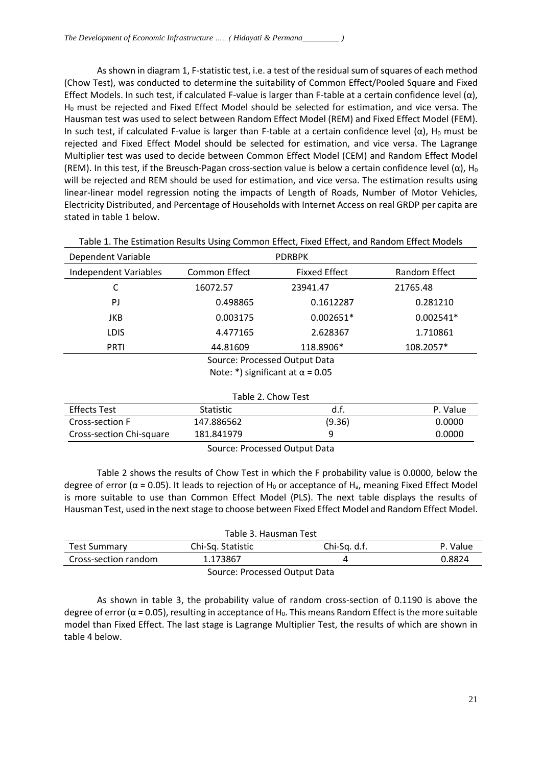As shown in diagram 1, F-statistic test, i.e. a test of the residual sum of squares of each method (Chow Test), was conducted to determine the suitability of Common Effect/Pooled Square and Fixed Effect Models. In such test, if calculated F-value is larger than F-table at a certain confidence level  $(\alpha)$ , H<sub>0</sub> must be rejected and Fixed Effect Model should be selected for estimation, and vice versa. The Hausman test was used to select between Random Effect Model (REM) and Fixed Effect Model (FEM). In such test, if calculated F-value is larger than F-table at a certain confidence level  $(\alpha)$ , H<sub>0</sub> must be rejected and Fixed Effect Model should be selected for estimation, and vice versa. The Lagrange Multiplier test was used to decide between Common Effect Model (CEM) and Random Effect Model (REM). In this test, if the Breusch-Pagan cross-section value is below a certain confidence level ( $\alpha$ ), H<sub>0</sub> will be rejected and REM should be used for estimation, and vice versa. The estimation results using linear-linear model regression noting the impacts of Length of Roads, Number of Motor Vehicles, Electricity Distributed, and Percentage of Households with Internet Access on real GRDP per capita are stated in table 1 below.

| <b>Dependent Variable</b>               | <b>PDRBPK</b>        |                      |               |  |  |  |
|-----------------------------------------|----------------------|----------------------|---------------|--|--|--|
| <b>Independent Variables</b>            | <b>Common Effect</b> | <b>Fixxed Effect</b> | Random Effect |  |  |  |
| C                                       | 16072.57             | 23941.47             | 21765.48      |  |  |  |
| PJ                                      | 0.498865             | 0.1612287            | 0.281210      |  |  |  |
| <b>JKB</b>                              | 0.003175             | $0.002651*$          | $0.002541*$   |  |  |  |
| <b>LDIS</b>                             | 4.477165             | 2.628367             | 1.710861      |  |  |  |
| <b>PRTI</b>                             | 44.81609             | 118.8906*            | 108.2057*     |  |  |  |
| Source: Processed Output Data           |                      |                      |               |  |  |  |
| Note: *) significant at $\alpha$ = 0.05 |                      |                      |               |  |  |  |
|                                         |                      |                      |               |  |  |  |
| Table 2. Chow Test                      |                      |                      |               |  |  |  |
| <b>Effects Test</b>                     | <b>Statistic</b>     | d.f.                 | P. Value      |  |  |  |
| Cross-section F                         | 147.886562           | (9.36)               | 0.0000        |  |  |  |

Table 1. The Estimation Results Using Common Effect, Fixed Effect, and Random Effect Models

Cross-section Chi-square 181.841979 9 0.0000 9 Source: Processed Output Data

Table 2 shows the results of Chow Test in which the F probability value is 0.0000, below the degree of error ( $\alpha$  = 0.05). It leads to rejection of H<sub>0</sub> or acceptance of H<sub>a</sub>, meaning Fixed Effect Model is more suitable to use than Common Effect Model (PLS). The next table displays the results of Hausman Test, used in the next stage to choose between Fixed Effect Model and Random Effect Model.

| Table 3. Hausman Test         |                   |              |          |  |  |  |
|-------------------------------|-------------------|--------------|----------|--|--|--|
| <b>Test Summary</b>           | Chi-Sq. Statistic | Chi-Sq. d.f. | P. Value |  |  |  |
| Cross-section random          | 1.173867          | 4            | 0.8824   |  |  |  |
| Source: Processed Output Data |                   |              |          |  |  |  |

As shown in table 3, the probability value of random cross-section of 0.1190 is above the degree of error ( $\alpha$  = 0.05), resulting in acceptance of H<sub>0</sub>. This means Random Effect is the more suitable model than Fixed Effect. The last stage is Lagrange Multiplier Test, the results of which are shown in table 4 below.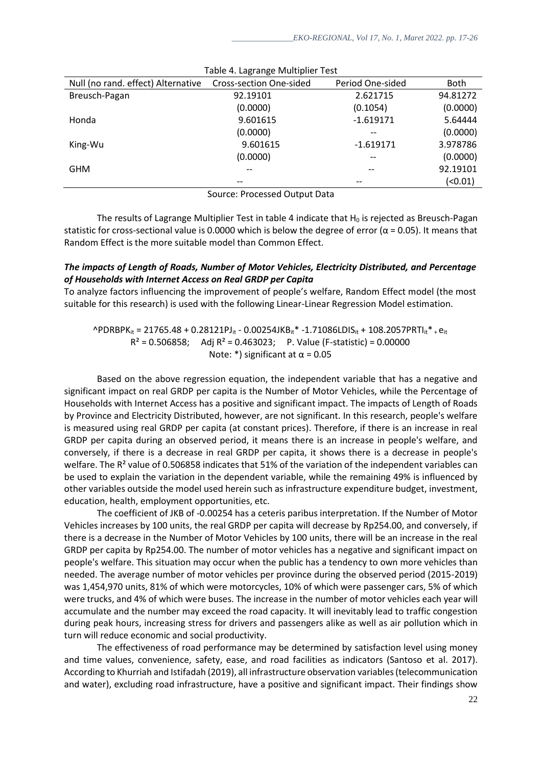| Null (no rand. effect) Alternative | $10010$ $1120010100$ $111010100$<br><b>Cross-section One-sided</b> | Period One-sided | Both     |
|------------------------------------|--------------------------------------------------------------------|------------------|----------|
| Breusch-Pagan                      | 92.19101                                                           | 2.621715         | 94.81272 |
|                                    | (0.0000)                                                           | (0.1054)         | (0.0000) |
| Honda                              | 9.601615                                                           | $-1.619171$      | 5.64444  |
|                                    | (0.0000)                                                           |                  | (0.0000) |
| King-Wu                            | 9.601615                                                           | $-1.619171$      | 3.978786 |
|                                    | (0.0000)                                                           | $- -$            | (0.0000) |
| <b>GHM</b>                         | --                                                                 | --               | 92.19101 |
|                                    | --                                                                 |                  | (0.01)   |

Table 4. Lagrange Multiplier Test

Source: Processed Output Data

The results of Lagrange Multiplier Test in table 4 indicate that  $H_0$  is rejected as Breusch-Pagan statistic for cross-sectional value is 0.0000 which is below the degree of error ( $\alpha$  = 0.05). It means that Random Effect is the more suitable model than Common Effect.

# *The impacts of Length of Roads, Number of Motor Vehicles, Electricity Distributed, and Percentage of Households with Internet Access on Real GRDP per Capita*

To analyze factors influencing the improvement of people's welfare, Random Effect model (the most suitable for this research) is used with the following Linear-Linear Regression Model estimation.

 $^{\circ}$ PDRBPK<sub>it</sub> = 21765.48 + 0.28121PJ<sub>it</sub> - 0.00254JKB<sub>it</sub>\* -1.71086LDIS<sub>it</sub> + 108.2057PRTI<sub>it</sub>\* <sub>+</sub>e<sub>it</sub>  $R^2 = 0.506858$ ; Adj  $R^2 = 0.463023$ ; P. Value (F-statistic) = 0.00000 Note: \*) significant at  $\alpha$  = 0.05

Based on the above regression equation, the independent variable that has a negative and significant impact on real GRDP per capita is the Number of Motor Vehicles, while the Percentage of Households with Internet Access has a positive and significant impact. The impacts of Length of Roads by Province and Electricity Distributed, however, are not significant. In this research, people's welfare is measured using real GRDP per capita (at constant prices). Therefore, if there is an increase in real GRDP per capita during an observed period, it means there is an increase in people's welfare, and conversely, if there is a decrease in real GRDP per capita, it shows there is a decrease in people's welfare. The R<sup>2</sup> value of 0.506858 indicates that 51% of the variation of the independent variables can be used to explain the variation in the dependent variable, while the remaining 49% is influenced by other variables outside the model used herein such as infrastructure expenditure budget, investment, education, health, employment opportunities, etc.

The coefficient of JKB of -0.00254 has a ceteris paribus interpretation. If the Number of Motor Vehicles increases by 100 units, the real GRDP per capita will decrease by Rp254.00, and conversely, if there is a decrease in the Number of Motor Vehicles by 100 units, there will be an increase in the real GRDP per capita by Rp254.00. The number of motor vehicles has a negative and significant impact on people's welfare. This situation may occur when the public has a tendency to own more vehicles than needed. The average number of motor vehicles per province during the observed period (2015-2019) was 1,454,970 units, 81% of which were motorcycles, 10% of which were passenger cars, 5% of which were trucks, and 4% of which were buses. The increase in the number of motor vehicles each year will accumulate and the number may exceed the road capacity. It will inevitably lead to traffic congestion during peak hours, increasing stress for drivers and passengers alike as well as air pollution which in turn will reduce economic and social productivity.

The effectiveness of road performance may be determined by satisfaction level using money and time values, convenience, safety, ease, and road facilities as indicators (Santoso et al. 2017). According to Khurriah and Istifadah (2019), all infrastructure observation variables (telecommunication and water), excluding road infrastructure, have a positive and significant impact. Their findings show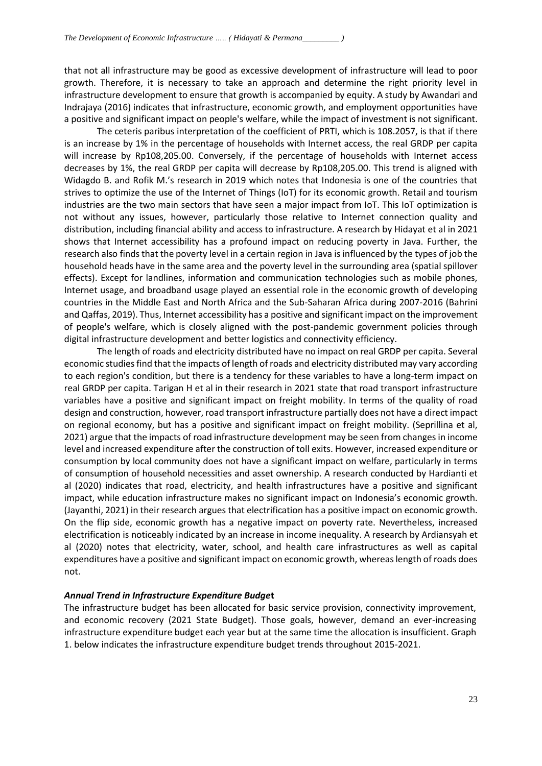that not all infrastructure may be good as excessive development of infrastructure will lead to poor growth. Therefore, it is necessary to take an approach and determine the right priority level in infrastructure development to ensure that growth is accompanied by equity. A study by Awandari and Indrajaya (2016) indicates that infrastructure, economic growth, and employment opportunities have a positive and significant impact on people's welfare, while the impact of investment is not significant.

The ceteris paribus interpretation of the coefficient of PRTI, which is 108.2057, is that if there is an increase by 1% in the percentage of households with Internet access, the real GRDP per capita will increase by Rp108,205.00. Conversely, if the percentage of households with Internet access decreases by 1%, the real GRDP per capita will decrease by Rp108,205.00. This trend is aligned with Widagdo B. and Rofik M.'s research in 2019 which notes that Indonesia is one of the countries that strives to optimize the use of the Internet of Things (IoT) for its economic growth. Retail and tourism industries are the two main sectors that have seen a major impact from IoT. This IoT optimization is not without any issues, however, particularly those relative to Internet connection quality and distribution, including financial ability and access to infrastructure. A research by Hidayat et al in 2021 shows that Internet accessibility has a profound impact on reducing poverty in Java. Further, the research also finds that the poverty level in a certain region in Java is influenced by the types of job the household heads have in the same area and the poverty level in the surrounding area (spatial spillover effects). Except for landlines, information and communication technologies such as mobile phones, Internet usage, and broadband usage played an essential role in the economic growth of developing countries in the Middle East and North Africa and the Sub-Saharan Africa during 2007-2016 (Bahrini and Qaffas, 2019). Thus, Internet accessibility has a positive and significant impact on the improvement of people's welfare, which is closely aligned with the post-pandemic government policies through digital infrastructure development and better logistics and connectivity efficiency.

The length of roads and electricity distributed have no impact on real GRDP per capita. Several economic studies find that the impacts of length of roads and electricity distributed may vary according to each region's condition, but there is a tendency for these variables to have a long-term impact on real GRDP per capita. Tarigan H et al in their research in 2021 state that road transport infrastructure variables have a positive and significant impact on freight mobility. In terms of the quality of road design and construction, however, road transport infrastructure partially does not have a direct impact on regional economy, but has a positive and significant impact on freight mobility. (Seprillina et al, 2021) argue that the impacts of road infrastructure development may be seen from changes in income level and increased expenditure after the construction of toll exits. However, increased expenditure or consumption by local community does not have a significant impact on welfare, particularly in terms of consumption of household necessities and asset ownership. A research conducted by Hardianti et al (2020) indicates that road, electricity, and health infrastructures have a positive and significant impact, while education infrastructure makes no significant impact on Indonesia's economic growth. (Jayanthi, 2021) in their research argues that electrification has a positive impact on economic growth. On the flip side, economic growth has a negative impact on poverty rate. Nevertheless, increased electrification is noticeably indicated by an increase in income inequality. A research by Ardiansyah et al (2020) notes that electricity, water, school, and health care infrastructures as well as capital expenditures have a positive and significant impact on economic growth, whereas length of roads does not.

#### *Annual Trend in Infrastructure Expenditure Budge***t**

The infrastructure budget has been allocated for basic service provision, connectivity improvement, and economic recovery (2021 State Budget). Those goals, however, demand an ever-increasing infrastructure expenditure budget each year but at the same time the allocation is insufficient. Graph 1. below indicates the infrastructure expenditure budget trends throughout 2015-2021.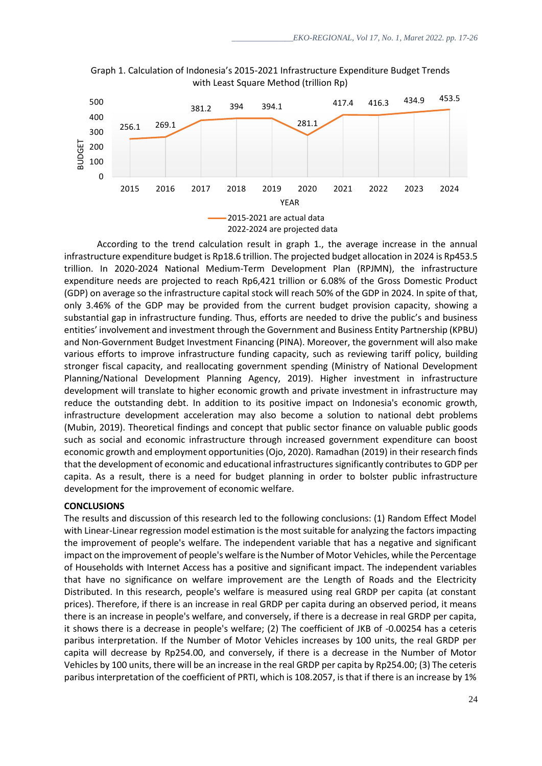

Graph 1. Calculation of Indonesia's 2015-2021 Infrastructure Expenditure Budget Trends with Least Square Method (trillion Rp)

According to the trend calculation result in graph 1., the average increase in the annual infrastructure expenditure budget is Rp18.6 trillion. The projected budget allocation in 2024 is Rp453.5 trillion. In 2020-2024 National Medium-Term Development Plan (RPJMN), the infrastructure expenditure needs are projected to reach Rp6,421 trillion or 6.08% of the Gross Domestic Product (GDP) on average so the infrastructure capital stock will reach 50% of the GDP in 2024. In spite of that, only 3.46% of the GDP may be provided from the current budget provision capacity, showing a substantial gap in infrastructure funding. Thus, efforts are needed to drive the public's and business entities' involvement and investment through the Government and Business Entity Partnership (KPBU) and Non-Government Budget Investment Financing (PINA). Moreover, the government will also make various efforts to improve infrastructure funding capacity, such as reviewing tariff policy, building stronger fiscal capacity, and reallocating government spending (Ministry of National Development Planning/National Development Planning Agency, 2019). Higher investment in infrastructure development will translate to higher economic growth and private investment in infrastructure may reduce the outstanding debt. In addition to its positive impact on Indonesia's economic growth, infrastructure development acceleration may also become a solution to national debt problems (Mubin, 2019). Theoretical findings and concept that public sector finance on valuable public goods such as social and economic infrastructure through increased government expenditure can boost economic growth and employment opportunities (Ojo, 2020). Ramadhan (2019) in their research finds that the development of economic and educational infrastructures significantly contributes to GDP per capita. As a result, there is a need for budget planning in order to bolster public infrastructure development for the improvement of economic welfare.

### **CONCLUSIONS**

The results and discussion of this research led to the following conclusions: (1) Random Effect Model with Linear-Linear regression model estimation is the most suitable for analyzing the factors impacting the improvement of people's welfare. The independent variable that has a negative and significant impact on the improvement of people's welfare is the Number of Motor Vehicles, while the Percentage of Households with Internet Access has a positive and significant impact. The independent variables that have no significance on welfare improvement are the Length of Roads and the Electricity Distributed. In this research, people's welfare is measured using real GRDP per capita (at constant prices). Therefore, if there is an increase in real GRDP per capita during an observed period, it means there is an increase in people's welfare, and conversely, if there is a decrease in real GRDP per capita, it shows there is a decrease in people's welfare; (2) The coefficient of JKB of -0.00254 has a ceteris paribus interpretation. If the Number of Motor Vehicles increases by 100 units, the real GRDP per capita will decrease by Rp254.00, and conversely, if there is a decrease in the Number of Motor Vehicles by 100 units, there will be an increase in the real GRDP per capita by Rp254.00; (3) The ceteris paribus interpretation of the coefficient of PRTI, which is 108.2057, is that if there is an increase by 1%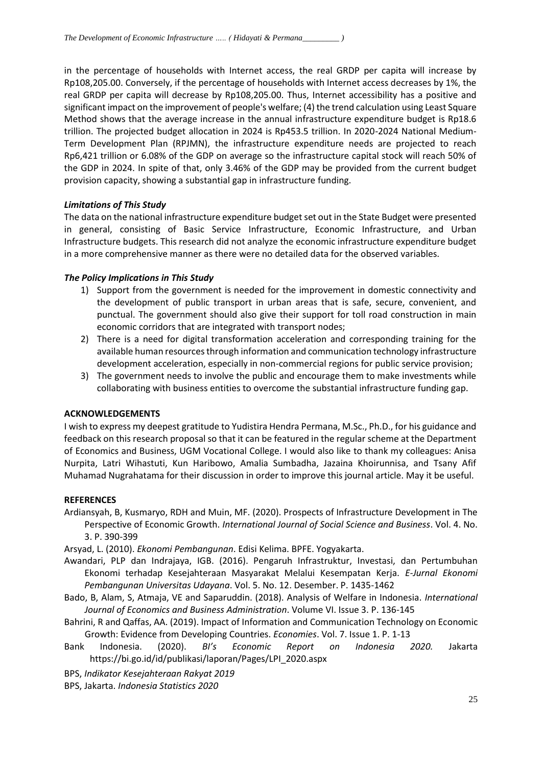in the percentage of households with Internet access, the real GRDP per capita will increase by Rp108,205.00. Conversely, if the percentage of households with Internet access decreases by 1%, the real GRDP per capita will decrease by Rp108,205.00. Thus, Internet accessibility has a positive and significant impact on the improvement of people's welfare; (4) the trend calculation using Least Square Method shows that the average increase in the annual infrastructure expenditure budget is Rp18.6 trillion. The projected budget allocation in 2024 is Rp453.5 trillion. In 2020-2024 National Medium-Term Development Plan (RPJMN), the infrastructure expenditure needs are projected to reach Rp6,421 trillion or 6.08% of the GDP on average so the infrastructure capital stock will reach 50% of the GDP in 2024. In spite of that, only 3.46% of the GDP may be provided from the current budget provision capacity, showing a substantial gap in infrastructure funding.

# *Limitations of This Study*

The data on the national infrastructure expenditure budget set out in the State Budget were presented in general, consisting of Basic Service Infrastructure, Economic Infrastructure, and Urban Infrastructure budgets. This research did not analyze the economic infrastructure expenditure budget in a more comprehensive manner as there were no detailed data for the observed variables.

# *The Policy Implications in This Study*

- 1) Support from the government is needed for the improvement in domestic connectivity and the development of public transport in urban areas that is safe, secure, convenient, and punctual. The government should also give their support for toll road construction in main economic corridors that are integrated with transport nodes;
- 2) There is a need for digital transformation acceleration and corresponding training for the available human resources through information and communication technology infrastructure development acceleration, especially in non-commercial regions for public service provision;
- 3) The government needs to involve the public and encourage them to make investments while collaborating with business entities to overcome the substantial infrastructure funding gap.

# **ACKNOWLEDGEMENTS**

I wish to express my deepest gratitude to Yudistira Hendra Permana, M.Sc., Ph.D., for his guidance and feedback on this research proposal so that it can be featured in the regular scheme at the Department of Economics and Business, UGM Vocational College. I would also like to thank my colleagues: Anisa Nurpita, Latri Wihastuti, Kun Haribowo, Amalia Sumbadha, Jazaina Khoirunnisa, and Tsany Afif Muhamad Nugrahatama for their discussion in order to improve this journal article. May it be useful.

# **REFERENCES**

Ardiansyah, B, Kusmaryo, RDH and Muin, MF. (2020). Prospects of Infrastructure Development in The Perspective of Economic Growth. *International Journal of Social Science and Business*. Vol. 4. No. 3. P. 390-399

Arsyad, L. (2010). *Ekonomi Pembangunan*. Edisi Kelima. BPFE. Yogyakarta.

- Awandari, PLP dan Indrajaya, IGB. (2016). Pengaruh Infrastruktur, Investasi, dan Pertumbuhan Ekonomi terhadap Kesejahteraan Masyarakat Melalui Kesempatan Kerja. *E-Jurnal Ekonomi Pembangunan Universitas Udayana*. Vol. 5. No. 12. Desember. P. 1435-1462
- Bado, B, Alam, S, Atmaja, VE and Saparuddin. (2018). Analysis of Welfare in Indonesia. *International Journal of Economics and Business Administration*. Volume VI. Issue 3. P. 136-145
- Bahrini, R and Qaffas, AA. (2019). Impact of Information and Communication Technology on Economic Growth: Evidence from Developing Countries. *Economies*. Vol. 7. Issue 1. P. 1-13
- Bank Indonesia. (2020). *BI's Economic Report on Indonesia 2020.* Jakarta [https://bi.go.id/id/publikasi/laporan/Pages/LPI\\_2020.aspx](https://bi.go.id/id/publikasi/laporan/Pages/LPI_2020.aspx)
- BPS, *Indikator Kesejahteraan Rakyat 2019*

BPS, Jakarta. *Indonesia Statistics 2020*